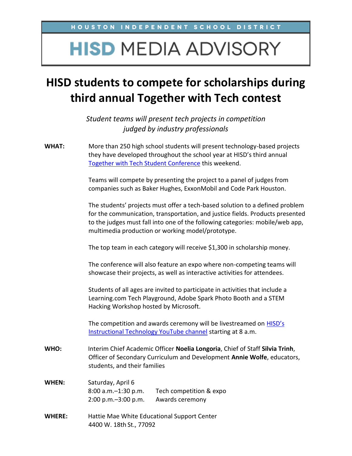HOUSTON INDEPENDENT SCHOOL **DISTRICT** 

## **HISD MEDIA ADVISORY**

## **HISD students to compete for scholarships during third annual Together with Tech contest**

*Student teams will present tech projects in competition judged by industry professionals*

**WHAT:** More than 250 high school students will present technology-based projects they have developed throughout the school year at HISD's third annual [Together with Tech Student Conference](https://sites.google.com/houstonisd.org/hisdtechsummit/home) this weekend.

> Teams will compete by presenting the project to a panel of judges from companies such as Baker Hughes, ExxonMobil and Code Park Houston.

The students' projects must offer a tech-based solution to a defined problem for the communication, transportation, and justice fields. Products presented to the judges must fall into one of the following categories: mobile/web app, multimedia production or working model/prototype.

The top team in each category will receive \$1,300 in scholarship money.

The conference will also feature an expo where non-competing teams will showcase their projects, as well as interactive activities for attendees.

Students of all ages are invited to participate in activities that include a Learning.com Tech Playground, Adobe Spark Photo Booth and a STEM Hacking Workshop hosted by Microsoft.

The competition and awards ceremony will be livestreamed on [HISD's](https://www.youtube.com/channel/UCuRHnPSlPwveCr7ryxbapKw/videos?view=2&sort=dd&live_view=502&shelf_id=2)  [Instructional Technology YouTube channel](https://www.youtube.com/channel/UCuRHnPSlPwveCr7ryxbapKw/videos?view=2&sort=dd&live_view=502&shelf_id=2) starting at 8 a.m.

- **WHO:** Interim Chief Academic Officer **Noelia Longoria**, Chief of Staff **Silvia Trinh**, Officer of Secondary Curriculum and Development **Annie Wolfe**, educators, students, and their families
- **WHEN:** Saturday, April 6 8:00 a.m.–1:30 p.m. 2:00 p.m.–3:00 p.m. Tech competition & expo Awards ceremony
- **WHERE:** Hattie Mae White Educational Support Center 4400 W. 18th St., 77092